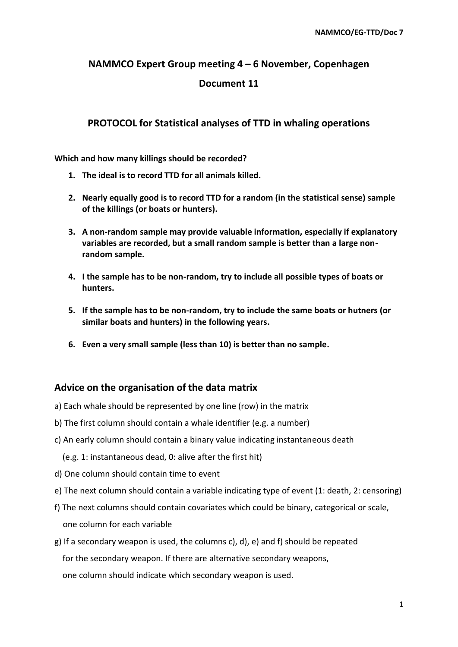#### **NAMMCO Expert Group meeting 4 – 6 November, Copenhagen**

#### **Document 11**

## **PROTOCOL for Statistical analyses of TTD in whaling operations**

**Which and how many killings should be recorded?**

- **1. The ideal is to record TTD for all animals killed.**
- **2. Nearly equally good is to record TTD for a random (in the statistical sense) sample of the killings (or boats or hunters).**
- **3. A non-random sample may provide valuable information, especially if explanatory variables are recorded, but a small random sample is better than a large nonrandom sample.**
- **4. I the sample has to be non-random, try to include all possible types of boats or hunters.**
- **5. If the sample has to be non-random, try to include the same boats or hutners (or similar boats and hunters) in the following years.**
- **6. Even a very small sample (less than 10) is better than no sample.**

### **Advice on the organisation of the data matrix**

- a) Each whale should be represented by one line (row) in the matrix
- b) The first column should contain a whale identifier (e.g. a number)
- c) An early column should contain a binary value indicating instantaneous death
	- (e.g. 1: instantaneous dead, 0: alive after the first hit)
- d) One column should contain time to event
- e) The next column should contain a variable indicating type of event (1: death, 2: censoring)
- f) The next columns should contain covariates which could be binary, categorical or scale,

one column for each variable

g) If a secondary weapon is used, the columns c), d), e) and f) should be repeated for the secondary weapon. If there are alternative secondary weapons, one column should indicate which secondary weapon is used.